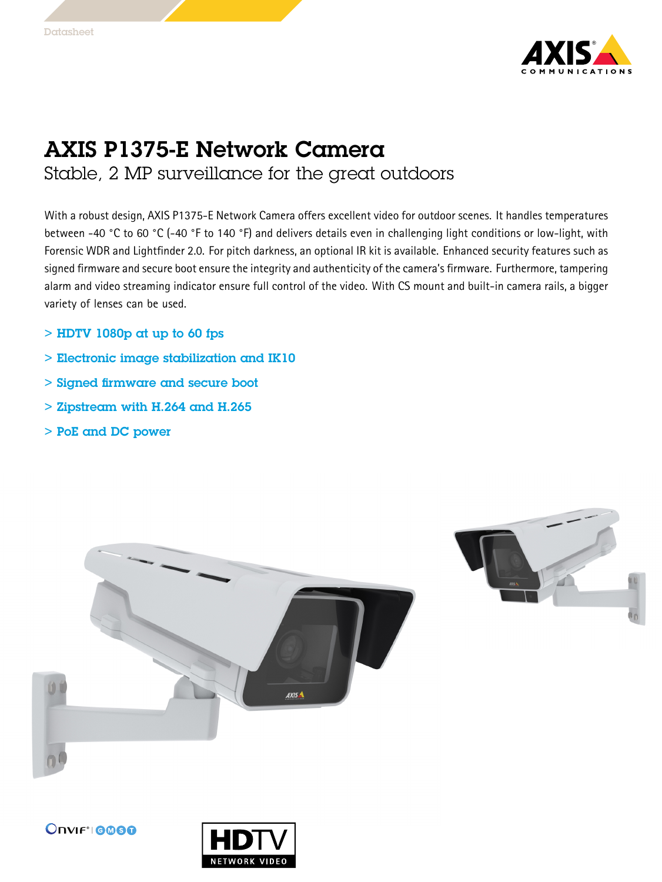

## AXIS P1375-E Network Camera

Stable, 2 MP surveillance for the great outdoors

With <sup>a</sup> robust design, AXIS P1375-E Network Camera offers excellent video for outdoor scenes. It handles temperatures between -40 °C to <sup>60</sup> °C (-40 °F to <sup>140</sup> °F) and delivers details even in challenging light conditions or low-light, with Forensic WDR and Lightfinder 2.0. For pitch darkness, an optional IR kit is available. Enhanced security features such as signed firmware and secure boot ensure the integrity and authenticity of the camera's firmware. Furthermore, tampering alarm and video streaming indicator ensure full control of the video. With CS mount and built-in camera rails, <sup>a</sup> bigger variety of lenses can be used.

- $>$  HDTV 1080p at up to 60 fps
- $>$  Electronic image stabilization and IK10  $\,$
- > Signed firmware and secure boot
- > Zipstream with H.264 and H.265
- > PoE and DC power



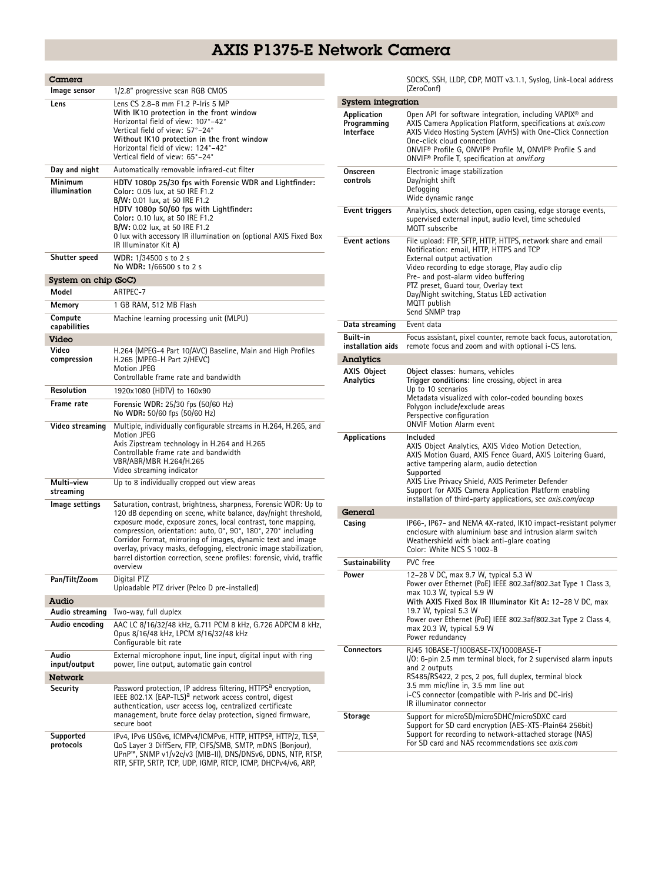## AXIS P1375-E Network Camera

| Camera                        |                                                                                                                                                                                                                                                                                                                                                                                                                                                                                                 |  |  |  |
|-------------------------------|-------------------------------------------------------------------------------------------------------------------------------------------------------------------------------------------------------------------------------------------------------------------------------------------------------------------------------------------------------------------------------------------------------------------------------------------------------------------------------------------------|--|--|--|
| Image sensor                  | 1/2.8" progressive scan RGB CMOS                                                                                                                                                                                                                                                                                                                                                                                                                                                                |  |  |  |
| Lens                          | Lens CS 2.8-8 mm F1.2 P-Iris 5 MP<br>With IK10 protection in the front window<br>Horizontal field of view: 107°-42°<br>Vertical field of view: 57°-24°<br>Without IK10 protection in the front window<br>Horizontal field of view: 124°-42°<br>Vertical field of view: 65°-24°                                                                                                                                                                                                                  |  |  |  |
| Day and night                 | Automatically removable infrared-cut filter                                                                                                                                                                                                                                                                                                                                                                                                                                                     |  |  |  |
| Minimum<br>illumination       | HDTV 1080p 25/30 fps with Forensic WDR and Lightfinder:<br>Color: 0.05 lux, at 50 IRE F1.2<br>B/W: 0.01 lux, at 50 IRE F1.2<br>HDTV 1080p 50/60 fps with Lightfinder:<br>Color: 0.10 lux, at 50 IRE F1.2<br>B/W: 0.02 lux, at 50 IRE F1.2<br>O lux with accessory IR illumination on (optional AXIS Fixed Box<br>IR Illuminator Kit A)                                                                                                                                                          |  |  |  |
| Shutter speed                 | WDR: 1/34500 s to 2 s<br>No WDR: 1/66500 s to 2 s                                                                                                                                                                                                                                                                                                                                                                                                                                               |  |  |  |
| System on chip (SoC)          |                                                                                                                                                                                                                                                                                                                                                                                                                                                                                                 |  |  |  |
| Model                         | ARTPEC-7                                                                                                                                                                                                                                                                                                                                                                                                                                                                                        |  |  |  |
| Memory                        | 1 GB RAM, 512 MB Flash                                                                                                                                                                                                                                                                                                                                                                                                                                                                          |  |  |  |
| Compute<br>capabilities       | Machine learning processing unit (MLPU)                                                                                                                                                                                                                                                                                                                                                                                                                                                         |  |  |  |
| Video<br>Video<br>compression | H.264 (MPEG-4 Part 10/AVC) Baseline, Main and High Profiles<br>H.265 (MPEG-H Part 2/HEVC)<br><b>Motion JPEG</b><br>Controllable frame rate and bandwidth                                                                                                                                                                                                                                                                                                                                        |  |  |  |
| Resolution                    | 1920x1080 (HDTV) to 160x90                                                                                                                                                                                                                                                                                                                                                                                                                                                                      |  |  |  |
| <b>Frame rate</b>             | Forensic WDR: 25/30 fps (50/60 Hz)<br>No WDR: 50/60 fps (50/60 Hz)                                                                                                                                                                                                                                                                                                                                                                                                                              |  |  |  |
| Video streaming               | Multiple, individually configurable streams in H.264, H.265, and<br>Motion JPEG<br>Axis Zipstream technology in H.264 and H.265<br>Controllable frame rate and bandwidth<br>VBR/ABR/MBR H.264/H.265<br>Video streaming indicator                                                                                                                                                                                                                                                                |  |  |  |
| Multi-view<br>streaming       | Up to 8 individually cropped out view areas                                                                                                                                                                                                                                                                                                                                                                                                                                                     |  |  |  |
| Image settings                | Saturation, contrast, brightness, sharpness, Forensic WDR: Up to<br>120 dB depending on scene, white balance, day/night threshold,<br>exposure mode, exposure zones, local contrast, tone mapping,<br>compression, orientation: auto, 0°, 90°, 180°, 270° including<br>Corridor Format, mirroring of images, dynamic text and image<br>overlay, privacy masks, defogging, electronic image stabilization,<br>barrel distortion correction, scene profiles: forensic, vivid, traffic<br>overview |  |  |  |
| Pan/Tilt/Zoom                 | Digital PTZ<br>Uploadable PTZ driver (Pelco D pre-installed)                                                                                                                                                                                                                                                                                                                                                                                                                                    |  |  |  |
| Audio                         |                                                                                                                                                                                                                                                                                                                                                                                                                                                                                                 |  |  |  |
| Audio streaming               | Two-way, full duplex                                                                                                                                                                                                                                                                                                                                                                                                                                                                            |  |  |  |
| Audio encoding                | AAC LC 8/16/32/48 kHz, G.711 PCM 8 kHz, G.726 ADPCM 8 kHz,<br>Opus 8/16/48 kHz, LPCM 8/16/32/48 kHz<br>Configurable bit rate                                                                                                                                                                                                                                                                                                                                                                    |  |  |  |
| Audio<br>input/output         | External microphone input, line input, digital input with ring<br>power, line output, automatic gain control                                                                                                                                                                                                                                                                                                                                                                                    |  |  |  |
| <b>Network</b>                |                                                                                                                                                                                                                                                                                                                                                                                                                                                                                                 |  |  |  |
| Security                      | Password protection, IP address filtering, HTTPS <sup>a</sup> encryption,<br>IEEE 802.1X (EAP-TLS) <sup>a</sup> network access control, digest<br>authentication, user access log, centralized certificate<br>management, brute force delay protection, signed firmware,<br>secure boot                                                                                                                                                                                                         |  |  |  |
| Supported<br>protocols        | IPv4, IPv6 USGv6, ICMPv4/ICMPv6, HTTP, HTTPS <sup>a</sup> , HTTP/2, TLS <sup>a</sup> ,<br>QoS Layer 3 DiffServ, FTP, CIFS/SMB, SMTP, mDNS (Bonjour),<br>UPnP™, SNMP v1/v2c/v3 (MIB-II), DNS/DNSv6, DDNS, NTP, RTSP,<br>RTP, SFTP, SRTP, TCP, UDP, IGMP, RTCP, ICMP, DHCPv4/v6, ARP,                                                                                                                                                                                                             |  |  |  |

SOCKS, SSH, LLDP, CDP, MQTT v3.1.1, Syslog, Link-Local address (ZeroConf)

| System integration                      |                                                                                                                                                                                                                                                                                                                                                                           |  |  |  |
|-----------------------------------------|---------------------------------------------------------------------------------------------------------------------------------------------------------------------------------------------------------------------------------------------------------------------------------------------------------------------------------------------------------------------------|--|--|--|
| Application<br>Programming<br>Interface | Open API for software integration, including VAPIX <sup>®</sup> and<br>AXIS Camera Application Platform, specifications at axis.com<br>AXIS Video Hosting System (AVHS) with One-Click Connection<br>One-click cloud connection<br>ONVIF <sup>®</sup> Profile G, ONVIF® Profile M, ONVIF® Profile S and<br>ONVIF <sup>®</sup> Profile T, specification at onvif.org       |  |  |  |
| Onscreen<br>controls                    | Electronic image stabilization<br>Day/night shift<br>Defogging<br>Wide dynamic range                                                                                                                                                                                                                                                                                      |  |  |  |
| Event triggers                          | Analytics, shock detection, open casing, edge storage events,<br>supervised external input, audio level, time scheduled<br>MQTT subscribe                                                                                                                                                                                                                                 |  |  |  |
| <b>Event actions</b>                    | File upload: FTP, SFTP, HTTP, HTTPS, network share and email<br>Notification: email, HTTP, HTTPS and TCP<br>External output activation<br>Video recording to edge storage, Play audio clip<br>Pre- and post-alarm video buffering<br>PTZ preset, Guard tour, Overlay text<br>Day/Night switching, Status LED activation<br>MQTT publish<br>Send SNMP trap                 |  |  |  |
| Data streaming                          | Event data                                                                                                                                                                                                                                                                                                                                                                |  |  |  |
| <b>Built-in</b><br>installation aids    | Focus assistant, pixel counter, remote back focus, autorotation,<br>remote focus and zoom and with optional i-CS lens.                                                                                                                                                                                                                                                    |  |  |  |
| Analytics                               |                                                                                                                                                                                                                                                                                                                                                                           |  |  |  |
| AXIS Object<br>Analytics                | Object classes: humans, vehicles<br>Trigger conditions: line crossing, object in area<br>Up to 10 scenarios<br>Metadata visualized with color-coded bounding boxes<br>Polygon include/exclude areas<br>Perspective configuration<br><b>ONVIF Motion Alarm event</b>                                                                                                       |  |  |  |
| <b>Applications</b>                     | Included<br>AXIS Object Analytics, AXIS Video Motion Detection,<br>AXIS Motion Guard, AXIS Fence Guard, AXIS Loitering Guard,<br>active tampering alarm, audio detection<br>Supported<br>AXIS Live Privacy Shield, AXIS Perimeter Defender<br>Support for AXIS Camera Application Platform enabling<br>installation of third-party applications, see <i>axis.com/acap</i> |  |  |  |
| General                                 |                                                                                                                                                                                                                                                                                                                                                                           |  |  |  |
| Casing                                  | IP66-, IP67- and NEMA 4X-rated, IK10 impact-resistant polymer<br>enclosure with aluminium base and intrusion alarm switch<br>Weathershield with black anti-glare coating<br>Color: White NCS S 1002-B                                                                                                                                                                     |  |  |  |
| Sustainability                          | PVC free                                                                                                                                                                                                                                                                                                                                                                  |  |  |  |
| Power                                   | 12-28 V DC, max 9.7 W, typical 5.3 W<br>Power over Ethernet (PoE) IEEE 802.3af/802.3at Type 1 Class 3,<br>max 10.3 W, typical 5.9 W<br>With AXIS Fixed Box IR Illuminator Kit A: 12–28 V DC, max<br>19.7 W, typical 5.3 W<br>Power over Ethernet (PoE) IEEE 802.3af/802.3at Type 2 Class 4,<br>max 20.3 W, typical 5.9 W<br>Power redundancy                              |  |  |  |
| <b>Connectors</b>                       | RJ45 10BASE-T/100BASE-TX/1000BASE-T<br>I/O: 6-pin 2.5 mm terminal block, for 2 supervised alarm inputs<br>and 2 outputs<br>RS485/RS422, 2 pcs, 2 pos, full duplex, terminal block<br>3.5 mm mic/line in, 3.5 mm line out<br>i-CS connector (compatible with P-Iris and DC-iris)<br>IR illuminator connector                                                               |  |  |  |
| Storage                                 | Support for microSD/microSDHC/microSDXC card<br>Support for SD card encryption (AES-XTS-Plain64 256bit)<br>Support for recording to network-attached storage (NAS)<br>For SD card and NAS recommendations see axis.com                                                                                                                                                    |  |  |  |